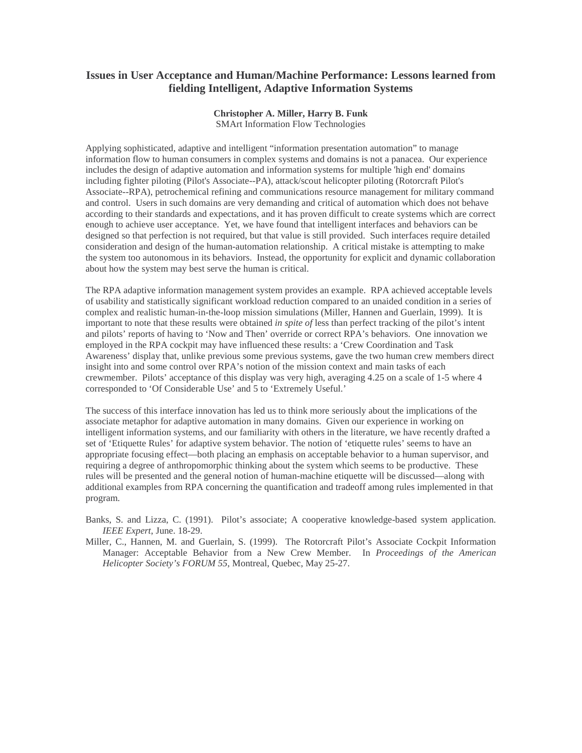## **Issues in User Acceptance and Human/Machine Performance: Lessons learned from fielding Intelligent, Adaptive Information Systems**

## **Christopher A. Miller, Harry B. Funk**

SMArt Information Flow Technologies

Applying sophisticated, adaptive and intelligent "information presentation automation" to manage information flow to human consumers in complex systems and domains is not a panacea. Our experience includes the design of adaptive automation and information systems for multiple 'high end' domains including fighter piloting (Pilot's Associate--PA), attack/scout helicopter piloting (Rotorcraft Pilot's Associate--RPA), petrochemical refining and communications resource management for military command and control. Users in such domains are very demanding and critical of automation which does not behave according to their standards and expectations, and it has proven difficult to create systems which are correct enough to achieve user acceptance. Yet, we have found that intelligent interfaces and behaviors can be designed so that perfection is not required, but that value is still provided. Such interfaces require detailed consideration and design of the human-automation relationship. A critical mistake is attempting to make the system too autonomous in its behaviors. Instead, the opportunity for explicit and dynamic collaboration about how the system may best serve the human is critical.

The RPA adaptive information management system provides an example. RPA achieved acceptable levels of usability and statistically significant workload reduction compared to an unaided condition in a series of complex and realistic human-in-the-loop mission simulations (Miller, Hannen and Guerlain, 1999). It is important to note that these results were obtained *in spite of* less than perfect tracking of the pilot's intent and pilots' reports of having to 'Now and Then' override or correct RPA's behaviors. One innovation we employed in the RPA cockpit may have influenced these results: a 'Crew Coordination and Task Awareness' display that, unlike previous some previous systems, gave the two human crew members direct insight into and some control over RPA's notion of the mission context and main tasks of each crewmember. Pilots' acceptance of this display was very high, averaging 4.25 on a scale of 1-5 where 4 corresponded to 'Of Considerable Use' and 5 to 'Extremely Useful.'

The success of this interface innovation has led us to think more seriously about the implications of the associate metaphor for adaptive automation in many domains. Given our experience in working on intelligent information systems, and our familiarity with others in the literature, we have recently drafted a set of 'Etiquette Rules' for adaptive system behavior. The notion of 'etiquette rules' seems to have an appropriate focusing effect—both placing an emphasis on acceptable behavior to a human supervisor, and requiring a degree of anthropomorphic thinking about the system which seems to be productive. These rules will be presented and the general notion of human-machine etiquette will be discussed—along with additional examples from RPA concerning the quantification and tradeoff among rules implemented in that program.

- Banks, S. and Lizza, C. (1991). Pilot's associate; A cooperative knowledge-based system application. *IEEE Expert*, June. 18-29.
- Miller, C., Hannen, M. and Guerlain, S. (1999). The Rotorcraft Pilot's Associate Cockpit Information Manager: Acceptable Behavior from a New Crew Member. In *Proceedings of the American Helicopter Society's FORUM 55*, Montreal, Quebec, May 25-27.